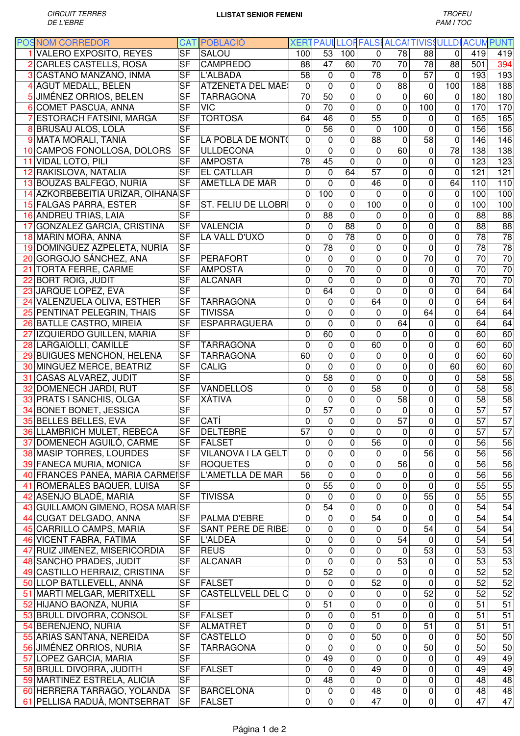| <b>POSNOM CORREDOR</b>             |                          | <b>CAT POBLACIÓ</b>        |                 |                 |                |                 |                 |                  | XERT PAUL LLOF FALSI ALCALTIVIS ULLDI ACUM PUNT |                 |                 |
|------------------------------------|--------------------------|----------------------------|-----------------|-----------------|----------------|-----------------|-----------------|------------------|-------------------------------------------------|-----------------|-----------------|
| <b>VALERO EXPOSITO, REYES</b>      | $\overline{\mathsf{SF}}$ | <b>SALOU</b>               | 100             | $\overline{53}$ | 100            | $\Omega$        | 78              | 88               | $\mathbf 0$                                     | 419             | 419             |
| 2 CARLES CASTELLS, ROSA            | <b>SF</b>                | <b>CAMPREDÓ</b>            | 88              | 47              | 60             | 70              | $\overline{70}$ | $\overline{78}$  | 88                                              | 501             | 394             |
| 3 CASTAÑO MANZANO, INMA            | <b>SF</b>                | <b>L'ALBADA</b>            | 58              | $\mathbf 0$     | 0              | $\overline{78}$ | 0               | $\overline{57}$  | $\Omega$                                        | 193             | 193             |
| 4 AGUT MEDALL, BELEN               | <b>SF</b>                | <b>ATZENETA DEL MAES</b>   | $\mathbf 0$     | $\mathbf 0$     | $\overline{0}$ | $\mathbf 0$     | 88              | $\mathbf 0$      | 100                                             | 188             | 188             |
| 5 JIMÉNEZ ORRIOS, BELEN            | <b>SF</b>                | <b>TARRAGONA</b>           | $\overline{70}$ | 50              | $\overline{0}$ | $\overline{0}$  | 0               | 60               | $\Omega$                                        | 180             | 180             |
| 6 COMET PASCUA, ANNA               | <b>SF</b>                | <b>VIC</b>                 | $\mathbf 0$     | $\overline{70}$ | $\overline{0}$ | $\mathbf 0$     | $\overline{0}$  | 100              | 0                                               | 170             | 170             |
| 7 ESTORACH FATSINI, MARGA          | <b>SF</b>                | <b>TORTOSA</b>             | 64              | 46              | $\overline{0}$ | $\overline{55}$ | $\mathbf 0$     | 0                | 0                                               | 165             | 165             |
| 8 BRUSAU ALOS, LOLA                | <b>SF</b>                |                            | $\mathbf 0$     | $\overline{56}$ | $\overline{0}$ | 0               | 100             | $\mathbf 0$      | $\mathbf 0$                                     | 156             | 156             |
| 9 MATA MORALI, TANIA               | $\overline{\mathsf{SF}}$ | LA POBLA DE MONTO          | $\mathbf 0$     | $\mathbf 0$     | $\overline{0}$ | 88              | $\mathbf 0$     | 58               | $\mathbf 0$                                     | 146             | 146             |
| 10 CAMPOS FONOLLOSA, DOLORS        | <b>SF</b>                | <b>ULLDECONA</b>           | $\mathbf 0$     | $\mathbf 0$     | $\overline{0}$ | 0               | 60              | 0                | 78                                              | 138             | 138             |
| 11 VIDAL LOTO, PILI                | <b>SF</b>                | <b>AMPOSTA</b>             | $\overline{78}$ | $\overline{45}$ | $\overline{0}$ | $\mathbf 0$     | 0               | $\mathsf 0$      | $\mathbf 0$                                     | 123             | 123             |
| 12 RAKISLOVA, NATALIA              | <b>SF</b>                | <b>EL CATLLAR</b>          | 0               | $\mathbf 0$     | 64             | 57              | 0               | 0                | $\mathbf 0$                                     | 121             | 121             |
| 13 BOUZAS BALFEGO, NURIA           | $\overline{\mathsf{SF}}$ | <b>AMETLLA DE MAR</b>      | $\mathbf 0$     | $\mathbf 0$     | 0              | 46              | $\overline{0}$  | $\overline{0}$   | 64                                              | 110             | 110             |
| 14 AZKORBEBEITIA URIZAR, OIHANA SF |                          |                            | $\mathbf 0$     | 100             | 0              | $\overline{0}$  | 0               | $\mathbf 0$      | $\mathbf 0$                                     | 100             | 100             |
| 15 FALGAS PARRA, ESTER             | <b>SF</b>                | <b>ST. FELIU DE LLOBRI</b> | $\mathbf 0$     | $\mathbf 0$     | $\overline{0}$ | 100             | 0               | $\overline{0}$   | 0                                               | 100             | 100             |
| <b>16 ANDREU TRIAS, LAIA</b>       | $\overline{\mathsf{SF}}$ |                            | $\mathbf 0$     | 88              | $\mathbf 0$    | 0               | $\mathbf 0$     | $\mathsf 0$      | 0                                               | 88              | $\overline{88}$ |
|                                    | <b>SF</b>                | <b>VALENCIA</b>            | $\mathbf 0$     | $\mathbf 0$     | 88             | $\mathbf 0$     | $\overline{0}$  | $\overline{0}$   | $\mathbf 0$                                     | $\overline{88}$ | 88              |
| <b>GONZALEZ GARCIA, CRISTINA</b>   | $\overline{\mathsf{SF}}$ | LA VALL D'UXO              | $\overline{0}$  | $\overline{0}$  | 78             |                 | $\overline{0}$  | $\overline{0}$   |                                                 | 78              | 78              |
| 18 MARIN MORA, ANNA                |                          |                            |                 |                 |                | 0               |                 |                  | $\mathbf 0$                                     | 78              | 78              |
| 19 DOMINGUEZ AZPELETA, NURIA       | $\overline{\mathsf{SF}}$ |                            | $\overline{0}$  | 78              | $\overline{0}$ | $\overline{0}$  | $\overline{0}$  | $\overline{0}$   | $\mathbf 0$                                     |                 | 70              |
| 20 GORGOJO SÁNCHEZ, ANA            | <b>SF</b>                | <b>PERAFORT</b>            | $\mathbf 0$     | $\mathbf 0$     | $\overline{0}$ | $\overline{0}$  | $\overline{0}$  | 70               | $\mathbf 0$                                     | $\overline{70}$ | 70              |
| 21 TORTA FERRE, CARME              | <b>SF</b>                | <b>AMPOSTA</b>             | $\overline{0}$  | $\overline{0}$  | 70             | $\overline{0}$  | $\overline{0}$  | $\boldsymbol{0}$ | $\mathbf 0$                                     | 70              |                 |
| 22 BORT ROIG, JUDIT                | <b>SF</b>                | <b>ALCANAR</b>             | $\mathbf 0$     | $\overline{0}$  | $\mathbf 0$    | $\overline{0}$  | $\overline{0}$  | $\overline{0}$   | 70                                              | $\overline{70}$ | $\overline{70}$ |
| 23 JARQUE LOPEZ, EVA               | $\overline{\mathsf{SF}}$ |                            | 0               | 64              | $\overline{0}$ | $\mathbf 0$     | $\overline{0}$  | $\overline{0}$   | 0                                               | 64              | 64              |
| 24 VALENZUELA OLIVA, ESTHER        | <b>SF</b>                | <b>TARRAGONA</b>           | 0               | $\mathbf 0$     | $\overline{0}$ | 64              | $\mathbf 0$     | 0                | $\mathbf 0$                                     | 64              | 64              |
| 25 PENTINAT PELEGRIN, THAIS        | <b>SF</b>                | <b>TIVISSA</b>             | $\mathbf 0$     | $\mathbf 0$     | 0              | 0               | $\mathbf 0$     | 64               | $\mathbf 0$                                     | 64              | 64              |
| 26 BATLLE CASTRO, MIREIA           | <b>SF</b>                | <b>ESPARRAGUERA</b>        | $\mathbf 0$     | $\mathbf 0$     | $\overline{0}$ | $\mathbf 0$     | 64              | $\mathsf 0$      | $\mathbf 0$                                     | 64              | 64              |
| 27 IZQUIERDO GUILLEN, MARIA        | <b>SF</b>                |                            | $\mathbf 0$     | 60              | 0              | $\mathbf 0$     | 0               | $\mathsf 0$      | $\mathbf 0$                                     | 60              | 60              |
| 28 LARGAIOLLI, CAMILLE             | <b>SF</b>                | <b>TARRAGONA</b>           | $\overline{0}$  | $\mathbf 0$     | 0              | 60              | 0               | $\mathsf 0$      | $\mathbf 0$                                     | 60              | 60              |
| 29 BUIGUES MENCHON, HELENA         | <b>SF</b>                | <b>TARRAGONA</b>           | 60              | $\mathbf 0$     | 0              | 0               | 0               | 0                | $\mathbf 0$                                     | 60              | 60              |
| 30 MINGUEZ MERCE, BEATRIZ          | <b>SF</b>                | <b>CALIG</b>               | $\mathbf 0$     | $\mathbf 0$     | 0              | $\mathbf 0$     | 0               | $\mathbf 0$      | 60                                              | 60              | 60              |
| 31 CASAS ALVAREZ, JUDIT            | <b>SF</b>                |                            | $\mathbf 0$     | 58              | $\overline{0}$ | $\overline{0}$  | 0               | $\mathbf 0$      | $\mathbf 0$                                     | 58              | $\overline{58}$ |
| 32 DOMENECH JARDI, RUT             | <b>SF</b>                | <b>VANDELLOS</b>           | $\mathbf 0$     | $\mathbf 0$     | $\overline{0}$ | $\overline{58}$ | $\overline{0}$  | $\mathbf 0$      | $\mathbf 0$                                     | 58              | $\overline{58}$ |
| 33 PRATS I SANCHIS, OLGA           | <b>SF</b>                | XÀTIVA                     | $\mathbf 0$     | $\overline{0}$  | $\overline{0}$ | $\mathbf 0$     | $\overline{58}$ | $\mathbf 0$      | $\mathbf 0$                                     | 58              | $\overline{58}$ |
| 34 BONET BONET, JESSICA            | <b>SF</b>                |                            | $\overline{0}$  | 57              | $\overline{0}$ | $\mathbf 0$     | $\mathbf 0$     | $\mathbf 0$      | $\mathbf 0$                                     | $\overline{57}$ | $\overline{57}$ |
| 35 BELLES BELLES, EVA              | <b>SF</b>                | CATÍ                       | $\overline{0}$  | $\mathbf 0$     | 0              | $\overline{0}$  | $\overline{57}$ | $\overline{0}$   | $\mathbf 0$                                     | $\overline{57}$ | 57              |
| 36 LLAMBRICH MULET, REBECA         | SF                       | <b>DELTEBRE</b>            | 57              | 0               | 0              | 0               | 0               | 0                | 0                                               | 57              | 57              |
| 37 DOMENECH AGUILÓ, CARME          | SF                       | <b>FALSET</b>              | 0               | $\overline{0}$  | $\overline{0}$ | 56              | 0               | $\overline{0}$   | $\mathbf 0$                                     | 56              | 56              |
| 38 MASIP TORRES, LOURDES           | <b>SF</b>                | VILANOVA I LA GELTI        | $\pmb{0}$       | 0               | 0              | 0               | 0               | 56               | 0                                               | 56              | 56              |
| 39 FANECA MURIA, MONICA            | <b>SF</b>                | <b>ROQUETES</b>            | $\pmb{0}$       | 0               | 0              | $\pmb{0}$       | 56              | 0                | 0                                               | 56              | 56              |
| 40 FRANCES PANEA, MARIA CARMEISF   |                          | L'AMETLLA DE MAR           | 56              | $\mathbf 0$     | 0              | 0               | 0               | $\mathsf 0$      | 0                                               | 56              | 56              |
| 41 ROMERALES BAQUER, LUISA         | <b>SF</b>                |                            | 0               | 55              | 0              | 0               | 0               | 0                | 0                                               | 55              | 55              |
| 42 ASENJO BLADÉ, MARIA             | <b>SF</b>                | <b>TIVISSA</b>             | $\mathbf 0$     | $\Omega$        | $\overline{0}$ | $\mathbf 0$     | 0               | 55               | 0                                               | 55              | 55              |
| 43 GUILLAMON GIMENO, ROSA MARISF   |                          |                            | $\mathbf 0$     | 54              | 0              | 0               | 0               | 0                | 0                                               | 54              | 54              |
| 44 CUGAT DELGADO, ANNA             | <b>SF</b>                | PALMA D'EBRE               | $\mathbf 0$     | 0               | 0              | 54              | 0               | $\mathsf 0$      | $\mathbf 0$                                     | 54              | 54              |
| 45 CARRILLO CAMPS, MARIA           | <b>SF</b>                | <b>SANT PERE DE RIBE:</b>  | 0               | $\mathbf 0$     | 0              | 0               | $\mathbf 0$     | 54               | 0                                               | 54              | 54              |
| 46 VICENT FABRA, FATIMA            | <b>SF</b>                | <b>L'ALDEA</b>             | $\mathbf 0$     | $\mathbf 0$     | 0              | 0               | 54              | $\mathbf 0$      | $\mathbf 0$                                     | 54              | 54              |
| 47 RUIZ JIMENEZ, MISERICORDIA      | <b>SF</b>                | <b>REUS</b>                | $\pmb{0}$       | $\mathbf 0$     | $\overline{0}$ | $\mathbf 0$     | 0               | 53               | 0                                               | 53              | 53              |
| 48 SANCHO PRADES, JUDIT            | <b>SF</b>                | <b>ALCANAR</b>             | $\mathbf 0$     | $\mathbf 0$     | $\overline{0}$ | $\pmb{0}$       | $\overline{53}$ | 0                | $\mathbf 0$                                     | 53              | 53              |
| 49 CASTILLO HERRAIZ, CRISTINA      | <b>SF</b>                |                            | $\pmb{0}$       | 52              | 0              | 0               | $\mathbf 0$     | 0                | 0                                               | 52              | 52              |
| 50 LLOP BATLLEVELL, ANNA           | <b>SF</b>                | <b>FALSET</b>              | $\mathbf 0$     | $\mathbf 0$     | $\overline{0}$ | 52              | $\mathbf 0$     | $\mathbf 0$      | $\mathbf 0$                                     | 52              | 52              |
| 51 MARTI MELGAR, MERITXELL         | <b>SF</b>                | <b>CASTELLVELL DEL C</b>   | $\mathbf 0$     | $\mathbf 0$     | $\overline{0}$ | 0               | $\overline{0}$  | 52               | $\mathbf 0$                                     | 52              | 52              |
| 52 HIJANO BAONZA, NURIA            | <b>SF</b>                |                            | 0               | 51              | $\overline{0}$ | $\mathbf 0$     | $\overline{0}$  | 0                | 0                                               | 51              | $\overline{51}$ |
| 53 BRULL DIVORRA, CONSOL           | <b>SF</b>                | <b>FALSET</b>              | 0               | 0               | 0              | $\overline{51}$ | 0               | $\mathbf 0$      | 0                                               | $\overline{51}$ | $\overline{51}$ |
| 54 BERENJENO, NÚRIA                | <b>SF</b>                | <b>ALMATRET</b>            | $\mathbf 0$     | $\overline{0}$  | $\overline{0}$ | 0               | $\overline{0}$  | $\overline{51}$  | 0                                               | $\overline{51}$ | $\overline{51}$ |
| 55 ARIAS SANTANA, NEREIDA          | <b>SF</b>                | <b>CASTELLO</b>            | $\pmb{0}$       | $\overline{0}$  | $\overline{0}$ | 50              | 0               | $\mathbf 0$      | 0                                               | 50              | 50              |
| 56 JIMÉNEZ ORRIOS, NURIA           | <b>SF</b>                | <b>TARRAGONA</b>           | $\mathbf 0$     | $\mathbf 0$     | 0              | 0               | 0               | 50               | 0                                               | 50              | 50              |
| 57 LOPEZ GARCIA, MARIA             | <b>SF</b>                |                            | $\mathbf 0$     | 49              | 0              | 0               | 0               | 0                | 0                                               | 49              | 49              |
|                                    | <b>SF</b>                | <b>FALSET</b>              | $\mathbf 0$     | $\mathbf 0$     | 0              | 49              | 0               | $\mathsf 0$      | $\pmb{0}$                                       | 49              | 49              |
| 58 BRULL DIVORRA, JUDITH           | <b>SF</b>                |                            |                 | 48              | $\mathbf 0$    |                 | 0               | $\mathsf 0$      | $\mathbf 0$                                     |                 |                 |
| 59 MARTINEZ ESTRELA, ALICIA        |                          |                            | $\mathbf 0$     |                 |                | 0               |                 |                  |                                                 | 48              | 48              |
| 60 HERRERA TARRAGO, YOLANDA        | <b>SF</b>                | <b>BARCELONA</b>           | 0               | 0               | 0              | 48              | 0               | 0                | 0                                               | 48              | 48              |
| 61 PELLISA RADUÀ, MONTSERRAT       | <b>SF</b>                | <b>FALSET</b>              | 0               | 0               | 0              | 47              | 0               | 0                | 0                                               | 47              | 47              |